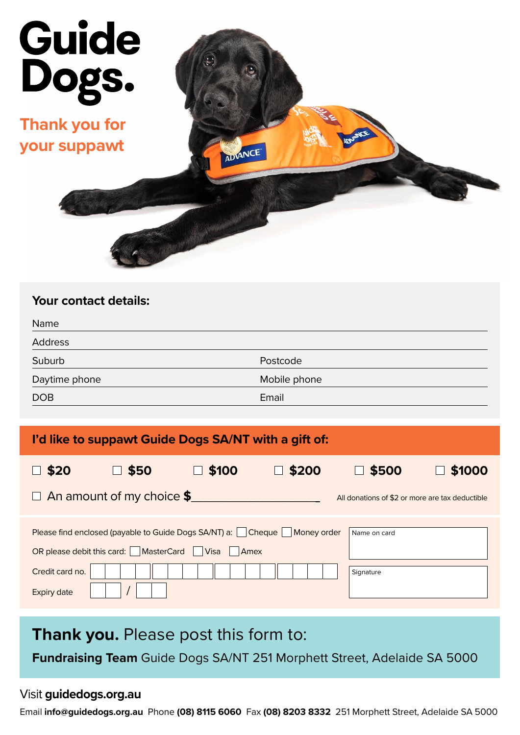

| <b>Your contact details:</b> |              |
|------------------------------|--------------|
| Name                         |              |
| Address                      |              |
| Suburb                       | Postcode     |
| Daytime phone                | Mobile phone |
| <b>DOB</b>                   | Email        |
|                              |              |

| I'd like to suppawt Guide Dogs SA/NT with a gift of:                                                                                                                            |                           |       |       |                                                 |        |  |
|---------------------------------------------------------------------------------------------------------------------------------------------------------------------------------|---------------------------|-------|-------|-------------------------------------------------|--------|--|
| \$20                                                                                                                                                                            | \$50                      | \$100 | \$200 | \$500                                           | \$1000 |  |
| $\Box$                                                                                                                                                                          | An amount of my choice \$ |       |       | All donations of \$2 or more are tax deductible |        |  |
| Please find enclosed (payable to Guide Dogs SA/NT) a:     Cheque  <br>Money order<br>Name on card<br><b>MasterCard</b><br>OR please debit this card:  <br><b>Visa</b><br>  Amex |                           |       |       |                                                 |        |  |
| Credit card no.<br><b>Expiry date</b>                                                                                                                                           |                           |       |       | Signature                                       |        |  |

## **Thank you.** Please post this form to:

**Fundraising Team** Guide Dogs SA/NT 251 Morphett Street, Adelaide SA 5000

## Visit **guidedogs.org.au**

Email **info@guidedogs.org.au** Phone **(08) 8115 6060** Fax **(08) 8203 8332** 251 Morphett Street, Adelaide SA 5000